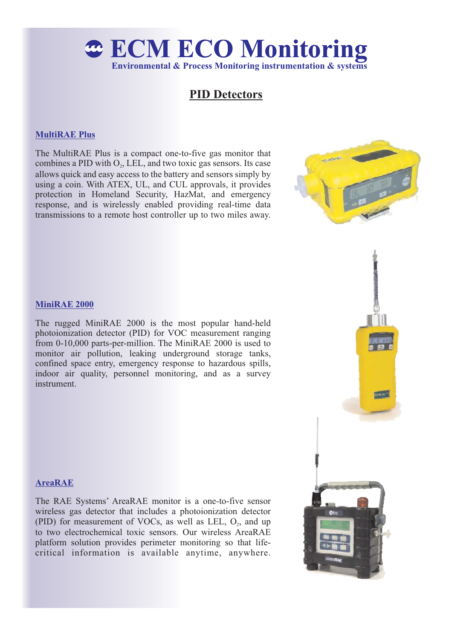

# **PID Detectors**

### **MultiRAE Plus**

The MultiRAE Plus is a compact one-to-five gas monitor that combines a PID with  $O_2$ , LEL, and two toxic gas sensors. Its case allows quick and easy access to the battery and sensors simply by using a coin. With ATEX, UL, and CUL approvals, it provides protection in Homeland Security, HazMat, and emergency response, and is wirelessly enabled providing real-time data transmissions to a remote host controller up to two miles away.



#### **MiniRAE 2000**

The rugged MiniRAE 2000 is the most popular hand-held photoionization detector (PID) for VOC measurement ranging from 0-10,000 parts-per-million. The MiniRAE 2000 is used to monitor air pollution, leaking underground storage tanks, confined space entry, emergency response to hazardous spills, indoor air quality, personnel monitoring, and as a survey instrument.



#### **AreaRAE**

The RAE Systems' AreaRAE monitor is a one-to-five sensor wireless gas detector that includes a photoionization detector (PID) for measurement of VOCs, as well as LEL,  $O_2$ , and up to two electrochemical toxic sensors. Our wireless AreaRAE platform solution provides perimeter monitoring so that lifecritical information is available anytime, anywhere.